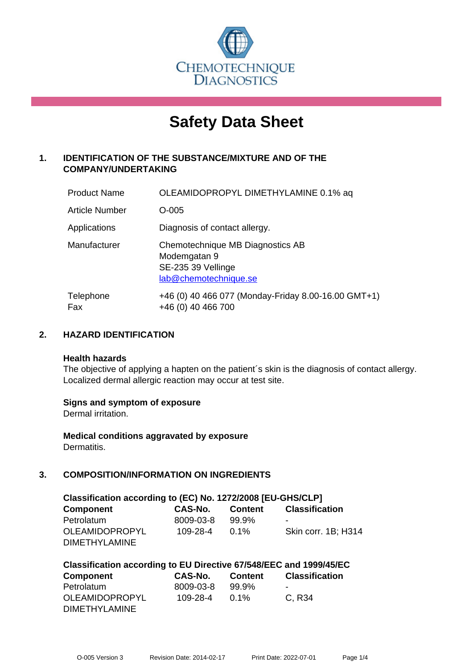

# **Safety Data Sheet**

# **1. IDENTIFICATION OF THE SUBSTANCE/MIXTURE AND OF THE COMPANY/UNDERTAKING**

| <b>Product Name</b>   | OLEAMIDOPROPYL DIMETHYLAMINE 0.1% aq                                                            |
|-----------------------|-------------------------------------------------------------------------------------------------|
| <b>Article Number</b> | $O - 005$                                                                                       |
| Applications          | Diagnosis of contact allergy.                                                                   |
| Manufacturer          | Chemotechnique MB Diagnostics AB<br>Modemgatan 9<br>SE-235 39 Vellinge<br>lab@chemotechnique.se |
| Telephone<br>Fax      | +46 (0) 40 466 077 (Monday-Friday 8.00-16.00 GMT+1)<br>+46 (0) 40 466 700                       |

## **2. HAZARD IDENTIFICATION**

#### **Health hazards**

The objective of applying a hapten on the patient's skin is the diagnosis of contact allergy. Localized dermal allergic reaction may occur at test site.

## **Signs and symptom of exposure**

Dermal irritation.

**Medical conditions aggravated by exposure** Dermatitis.

# **3. COMPOSITION/INFORMATION ON INGREDIENTS**

| Classification according to (EC) No. 1272/2008 [EU-GHS/CLP] |           |                |                          |  |  |
|-------------------------------------------------------------|-----------|----------------|--------------------------|--|--|
| <b>Component</b>                                            | CAS-No.   | <b>Content</b> | <b>Classification</b>    |  |  |
| Petrolatum                                                  | 8009-03-8 | 99.9%          | $\overline{\phantom{0}}$ |  |  |
| <b>OLEAMIDOPROPYL</b>                                       | 109-28-4  | $0.1\%$        | Skin corr. 1B; H314      |  |  |
| <b>DIMETHYLAMINE</b>                                        |           |                |                          |  |  |

| Classification according to EU Directive 67/548/EEC and 1999/45/EC |           |                |                       |  |  |
|--------------------------------------------------------------------|-----------|----------------|-----------------------|--|--|
| Component                                                          | CAS-No.   | <b>Content</b> | <b>Classification</b> |  |  |
| Petrolatum                                                         | 8009-03-8 | 99.9%          | $\,$                  |  |  |
| <b>OLEAMIDOPROPYL</b>                                              | 109-28-4  | 0.1%           | C. R34                |  |  |
| <b>DIMETHYLAMINE</b>                                               |           |                |                       |  |  |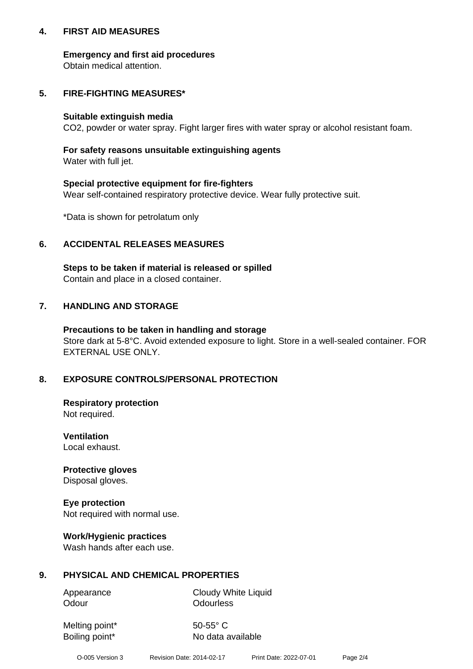## **4. FIRST AID MEASURES**

## **Emergency and first aid procedures**

Obtain medical attention.

# **5. FIRE-FIGHTING MEASURES\***

#### **Suitable extinguish media**

CO2, powder or water spray. Fight larger fires with water spray or alcohol resistant foam.

# **For safety reasons unsuitable extinguishing agents**

Water with full jet.

## **Special protective equipment for fire-fighters**

Wear self-contained respiratory protective device. Wear fully protective suit.

\*Data is shown for petrolatum only

## **6. ACCIDENTAL RELEASES MEASURES**

**Steps to be taken if material is released or spilled** Contain and place in a closed container.

## **7. HANDLING AND STORAGE**

**Precautions to be taken in handling and storage** Store dark at 5-8°C. Avoid extended exposure to light. Store in a well-sealed container. FOR EXTERNAL USE ONLY.

# **8. EXPOSURE CONTROLS/PERSONAL PROTECTION**

**Respiratory protection** Not required.

**Ventilation** Local exhaust.

**Protective gloves** Disposal gloves.

## **Eye protection**

Not required with normal use.

## **Work/Hygienic practices**

Wash hands after each use.

# **9. PHYSICAL AND CHEMICAL PROPERTIES**

Odour **Odourless** 

Appearance Cloudy White Liquid

Melting point\* 50-55° C

Boiling point\* No data available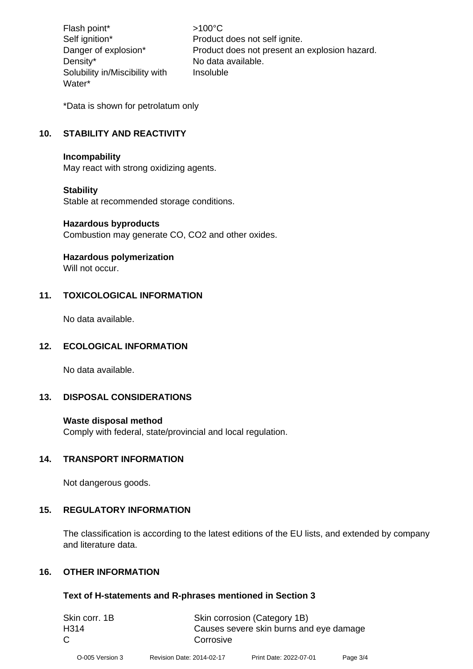Flash point\* >100°C Density\* No data available. Solubility in/Miscibility with Water\*

Self ignition\* Product does not self ignite.<br>
Danger of explosion\* Product does not present an Product does not present an explosion hazard. Insoluble

\*Data is shown for petrolatum only

# **10. STABILITY AND REACTIVITY**

## **Incompability**

May react with strong oxidizing agents.

## **Stability**

Stable at recommended storage conditions.

#### **Hazardous byproducts**

Combustion may generate CO, CO2 and other oxides.

## **Hazardous polymerization**

Will not occur.

## **11. TOXICOLOGICAL INFORMATION**

No data available.

## **12. ECOLOGICAL INFORMATION**

No data available.

## **13. DISPOSAL CONSIDERATIONS**

## **Waste disposal method**

Comply with federal, state/provincial and local regulation.

## **14. TRANSPORT INFORMATION**

Not dangerous goods.

## **15. REGULATORY INFORMATION**

The classification is according to the latest editions of the EU lists, and extended by company and literature data.

## **16. OTHER INFORMATION**

## **Text of H-statements and R-phrases mentioned in Section 3**

| Skin corr. 1B<br>H <sub>3</sub> 14<br>C | Corrosive                 | Skin corrosion (Category 1B)<br>Causes severe skin burns and eye damage |          |
|-----------------------------------------|---------------------------|-------------------------------------------------------------------------|----------|
| O-005 Version 3                         | Revision Date: 2014-02-17 | Print Date: 2022-07-01                                                  | Page 3/4 |